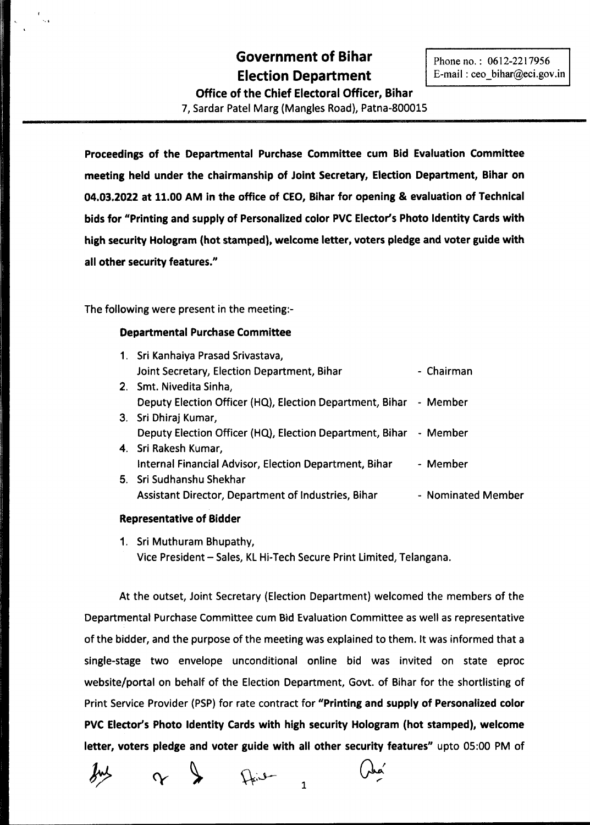# **Government of Bihar Election Department**

Phone no.: 0612-2217956 E-mail: ceo\_bihar@eci.gov.in

**Office of the Chief Electoral Officer, Bihar** 7, Sardar Patel Marg (Mangles Road), Patna-800015

**Proceedings of the Departmental Purchase Committee cum Bid Evaluation Committee meeting held under the chairmanship of Joint Secretary, Election Department, Bihar on 04.03.2022 at 11.00 AM in the office of CEO, Bihar for opening & evaluation of Technical bids for "Printing and supply of Personalized color PVC Elector's Photo Identity Cards with high security Hologram (hot stamped), welcome letter, voters pledge and voter guide with all other security features."**

The following were present in the meeting:-

# **Departmental Purchase Committee**

| 1. Sri Kanhaiya Prasad Srivastava,                                |                    |
|-------------------------------------------------------------------|--------------------|
| Joint Secretary, Election Department, Bihar                       | - Chairman         |
| 2. Smt. Nivedita Sinha,                                           |                    |
| Deputy Election Officer (HQ), Election Department, Bihar - Member |                    |
| 3. Sri Dhiraj Kumar,                                              |                    |
| Deputy Election Officer (HQ), Election Department, Bihar - Member |                    |
| 4. Sri Rakesh Kumar,                                              |                    |
| Internal Financial Advisor, Election Department, Bihar            | - Member           |
| 5. Sri Sudhanshu Shekhar                                          |                    |
| Assistant Director, Department of Industries, Bihar               | - Nominated Member |
|                                                                   |                    |

#### **Representative of Bidder**

1. Sri Muthuram Bhupathy, Vice President - Sales, KL Hi-Tech Secure Print Limited, Telangana.

At the outset, Joint Secretary (Election Department) welcomed the members of the Departmental Purchase Committee cum Bid Evaluation Committee as well as representative of the bidder, and the purpose of the meeting was explained to them. It was informed that a single-stage two envelope unconditional online bid was invited on state eproc website/portal on behalf of the Election Department, Govt. of Bihar for the shortlisting of Print Service Provider (PSP) for rate contract for "Printing and supply of Personalized color **PVC Ele(1:or's Photo Identity Cards with high security Hologram (hot stamped), welcome letter, voters pledge and voter guide with all other security features"** upto 05:00 PM of

 $\sim$ 

 $\bigcup_{\alpha} \bigcup_{\alpha}$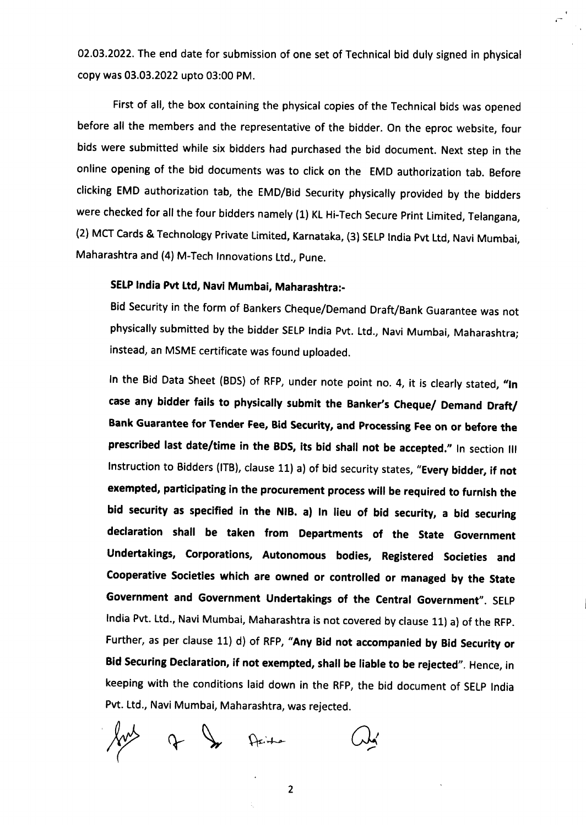02.03.2022. The end date for submission of one set of Technical bid duly signed in physical copy was 03.03.2022 upto 03:00 PM.

First of all, the box containing the physical copies of the Technical bids was opened before all the members and the representative of the bidder. On the eproc website, four bids were submitted while six bidders had purchased the bid document. Next step in the online opening of the bid documents was to click on the EMD authorization tab. Before clicking EMD authorization tab, the EMD/Bid Security physically provided by the bidders were checked for all the four bidders namely (1) KL Hi-Tech Secure Print Limited, Telangana, (2) MCT Cards & Technology Private Limited, Karnataka, (3) SELP India Pvt Ltd, Navi Mumbai, Maharashtra and (4) M-Tech Innovations Ltd., Pune.

# SELP India Pvt Ltd, Navi Mumbai, Maharashtra:-

Bid Security in the form of Bankers Cheque/Demand Draft/Bank Guarantee was not physically submitted by the bidder SELP India Pvt. Ltd., Navi Mumbai, Maharashtra; instead, an MSME certificate was found uploaded.

In the Bid Data Sheet (BDS) of RFP, under note point no. 4, it is clearly stated, "In case any bidder fails to physically submit the Banker's Cheque/ Demand Draft/ Bank Guarantee for Tender Fee, Bid Security, and Processing Fee on or before the prescribed last date/time in the BDS, its bid shall not be accepted." In section III Instruction to Bidders (ITB), clause 11) a) of bid security states, "Every bidder, if not exempted, participating in the procurement process will be required to furnish the bid security as specified in the NIB. a) In lieu of bid security, a bid securing declaration shall be taken from Departments of the State Government Undertakings, Corporations, Autonomous bodies, Registered Societies and Cooperative Societies which are owned or controlled or managed by the State Government and Government Undertakings of the Central Government". SELP India Pvt. Ltd., Navi Mumbai, Maharashtra is not covered by clause 11) a) of the RFP. Further, as per clause 11) d) of RFP, "Any Bid not accompanied by Bid Security or Bid Securing Declaration, if not exempted, shall be liable to be rejected". Hence, in keeping with the conditions laid down in the RFP, the bid document of SELP India Pvt. ltd., Navi Mumbai, Maharashtra, was rejected.

of In Acity

2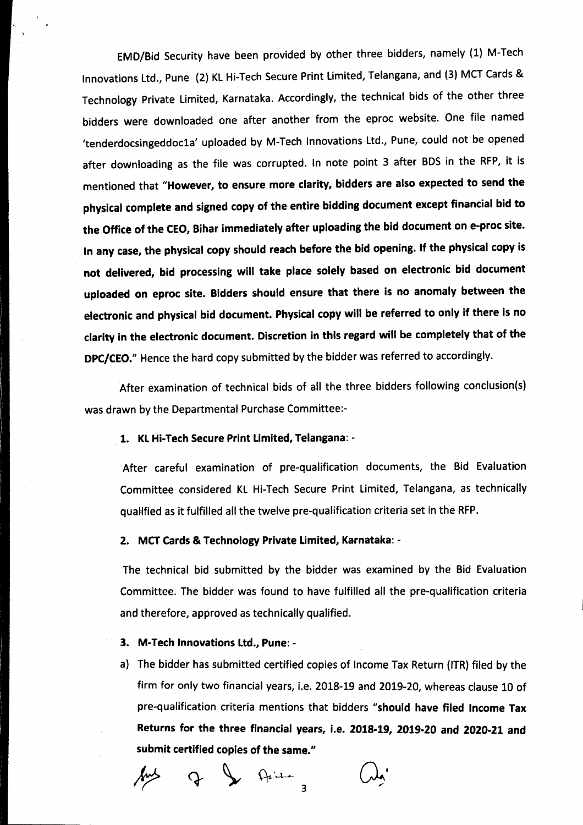EMD/Bid Security have been provided by other three bidders, namely (1) M-Tech Innovations Ltd., Pune (2) KL Hi-Tech Secure Print Limited, Telangana, and (3) MCT Cards & Technology Private limited, Karnataka. Accordingly, the technical bids of the other three bidders were downloaded one after another from the eproc website. One file named 'tenderdocsingeddoc1a' uploaded by M-Tech Innovations Ltd., Pune, could not be opened after downloading as the file was corrupted. In note point 3 after BDS in the RFP, it is mentioned that "However, to ensure more clarity, bidders are also expected to send the physical complete and signed copy of the entire bidding document except financial bid to the Office of the CEO, Bihar immediately after uploading the bid document on e-proc site. In any case, the physical copy should reach before the bid opening. If the physical copy is not delivered, bid processing will take place solely based on electronic bid document uploaded on eproc site. Bidders should ensure that there is no anomaly between the electronic and physical bid document. Physical copy will be referred to only if there is no clarity in the electronic document. Discretion in this regard will be completely that of the DPC/CEO." Hence the hard copy submitted by the bidder was referred to accordingly.

After examination of technical bids of all the three bidders following conclusion(s) was drawn by the Departmental Purchase Committee:-

#### 1. KL Hi-Tech Secure Print Limited, Telangana: -

After careful examination of pre-qualification documents, the Bid Evaluation Committee considered Kl Hi-Tech Secure Print Limited, Telangana, as technically qualified as it fulfilled all the twelve pre-qualification criteria set in the RFP.

#### 2. MCT Cards & Technology Private Limited, Karnataka: -

The technical bid submitted by the bidder was examined by the Bid Evaluation Committee. The bidder was found to have fulfilled all the pre-qualification criteria and therefore, approved as technically qualified.

### 3. M-Tech Innovations Ltd., Pune:-

a) The bidder has submitted certified copies of Income Tax Return (ITR) filed by the firm for only two financial years, i.e. 2018-19 and 2019-20, whereas clause 10 of pre-qualification criteria mentions that bidders "should have filed Income Tax Returns for the three financial years, i.e. 2018-19, 2019-20 and 2020-21 and submit certified copies of the same."

 $Q_{\text{right}}$  $\mathcal{L}$ 3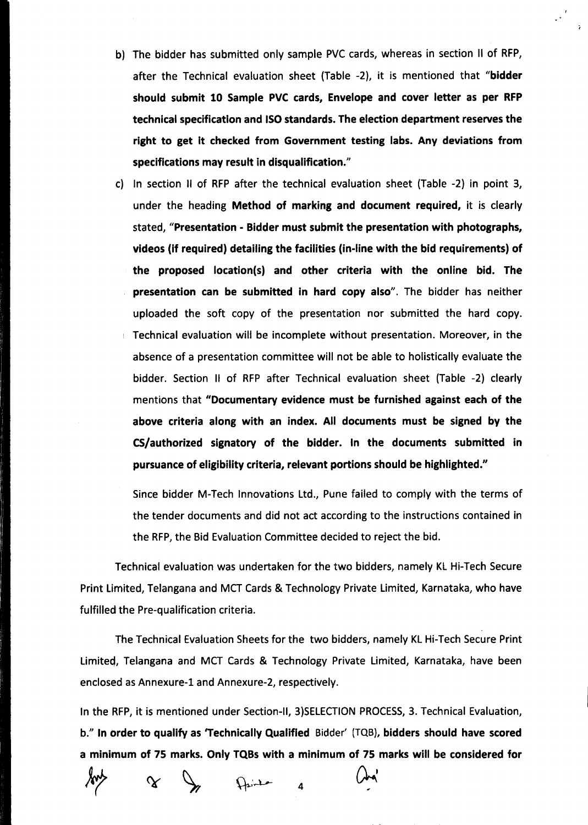b) The bidder has submitted only sample PVC cards, whereas in section II of RFP, after the Technical evaluation sheet (Table -2), it is mentioned that "bidder should submit 10 Sample PVC cards, Envelope and cover letter as per RFP technical specification and ISO standards. The election department reserves the right to get it checked from Government testing labs. Any deviations from specifications may result in disqualification."

c) In section II of RFP after the technical evaluation sheet (Table -2) in point 3, under the heading Method of marking and document required, it is clearly stated, "Presentation - Bidder must submit the presentation with photographs, videos (if required) detailing the facilities (in-line with the bid requirements) of the proposed location(s) and other criteria with the online bid. The presentation can be submitted in hard copy also". The bidder has neither uploaded the soft copy of the presentation nor submitted the hard copy. Technical evaluation will be incomplete without presentation. Moreover, in the absence of a presentation committee will not be able to holistically evaluate the bidder. Section II of RFP after Technical evaluation sheet (Table -2) clearly mentions that "Documentary evidence must be furnished against each of the above criteria along with an index. All documents must be signed by the C5/authorized signatory of the bidder. In the documents submitted in pursuance of eligibility criteria, relevant portions should be highlighted."

Since bidder M-Tech Innovations ltd., Pune failed to comply with the terms of the tender documents and did not act according to the instructions contained in the RFP, the Bid Evaluation Committee decided to reject the bid.

Technical evaluation was undertaken for the two bidders, namely KL Hi-Tech Secure Print Limited, Telangana and MCT Cards & Technology Private Limited, Karnataka, who have fulfilled the Pre-qualification criteria.

The Technical Evaluation Sheets for the two bidders, namely KL Hi-Tech Secure Print Limited, Telangana and MCT Cards & Technology Private Limited, Karnataka, have been enclosed as Annexure-1 and Annexure-2, respectively.

In the RFP, it is mentioned under Section-II, 3)SELECTION PROCESS, 3. Technical Evaluation, b." In order to qualify as 'Technically Qualified Bidder' (TQB), bidders should have scored a minimum of 75 marks. Only TQBs with a minimum of 75 marks will be considered for

4

 $\propto$ 

Drink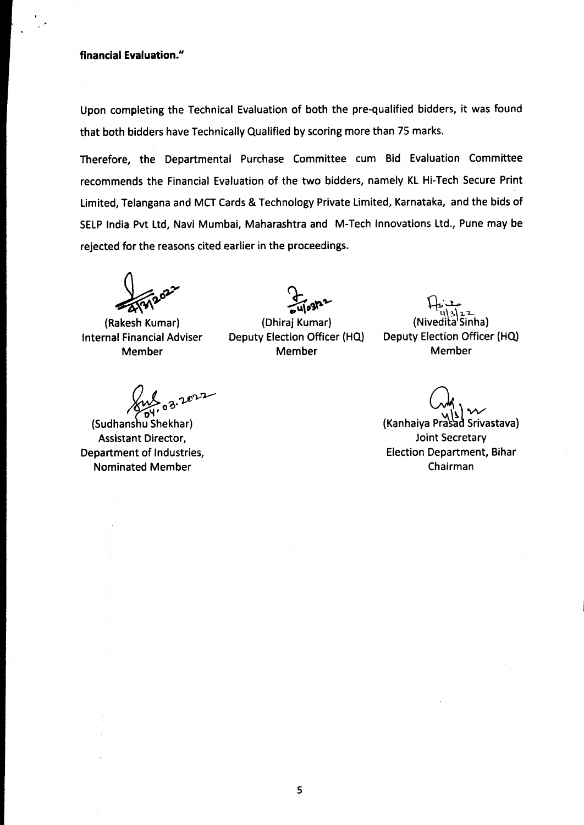# **financial Evaluation.H**

Upon completing the Technical Evaluation of both the pre-qualified bidders, it was found that both bidders have Technically Qualified by scoring more than 75 marks.

Therefore, the Departmental Purchase Committee cum Bid Evaluation Committee recommends the Financial Evaluation of the two bidders, namely KL Hi-Tech Secure Print Limited, Telangana and MCT Cards & Technology Private Limited, Karnataka, and the bids of SELP India Pvt Ltd, Navi Mumbai, Maharashtra and M-Tech Innovations Ltd., Pune may be rejected for the reasons cited earlier in the proceedings.

(Rakesh Kumar) Internal Financial Adviser Member

**03.2022** 

(Sudhanshu Shekhar) Assistant Director, Department of Industries, Nominated Member

 $\frac{1}{2}$   $\frac{1}{2}$   $\frac{1}{2}$ 

(Dhiraj Kumar) Deputy Election Officer (HQ) Member

 $\uparrow$ 4\3\<u>2</u>.2 (Nivedita'Sinha) Deputy Election Officer (HQ) Member

 $Q_{\lambda}$ (Kanhaiya Prasad Srivastava) Joint Secretary Election Department, Bihar Chairman

5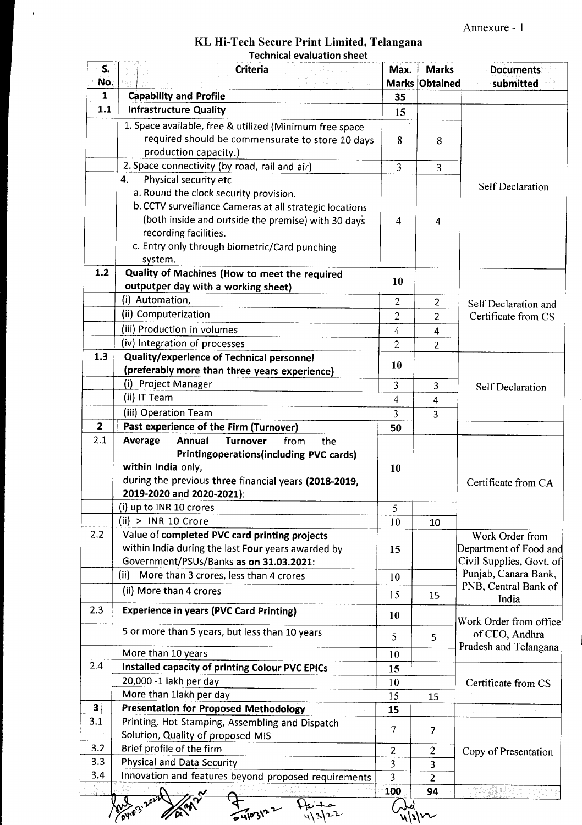Annexure - 1

| KL Hi-Tech Secure Print Limited, Telangana |
|--------------------------------------------|
| <b>Technical evaluation sheet</b>          |

 $\hat{\mathcal{A}}$ 

 $\hat{\mathcal{A}}$ 

| S.<br>No.               | <b>Criteria</b>                                                                                                                                                                                                                              | Max.                    | <b>Marks</b><br>Marks Obtained | <b>Documents</b><br>submitted                      |  |  |
|-------------------------|----------------------------------------------------------------------------------------------------------------------------------------------------------------------------------------------------------------------------------------------|-------------------------|--------------------------------|----------------------------------------------------|--|--|
| $\mathbf{1}$            | <b>Capability and Profile</b>                                                                                                                                                                                                                | 35                      |                                |                                                    |  |  |
| $1.1$                   | <b>Infrastructure Quality</b>                                                                                                                                                                                                                | 15                      |                                |                                                    |  |  |
|                         | 1. Space available, free & utilized (Minimum free space<br>required should be commensurate to store 10 days<br>production capacity.)                                                                                                         | 8                       | 8                              |                                                    |  |  |
|                         | 2. Space connectivity (by road, rail and air)                                                                                                                                                                                                | $\overline{3}$          | $\overline{3}$                 |                                                    |  |  |
|                         | Physical security etc<br>4.                                                                                                                                                                                                                  |                         |                                |                                                    |  |  |
|                         | a. Round the clock security provision.<br>b. CCTV surveillance Cameras at all strategic locations<br>(both inside and outside the premise) with 30 days<br>recording facilities.<br>c. Entry only through biometric/Card punching<br>system. | 4                       | 4                              | <b>Self Declaration</b>                            |  |  |
| $1.2$                   | Quality of Machines (How to meet the required                                                                                                                                                                                                |                         |                                |                                                    |  |  |
|                         | outputper day with a working sheet)                                                                                                                                                                                                          | 10                      |                                |                                                    |  |  |
|                         | (i) Automation,                                                                                                                                                                                                                              | 2                       | 2                              | Self Declaration and                               |  |  |
|                         | (ii) Computerization                                                                                                                                                                                                                         | $\overline{2}$          | $\overline{2}$                 | Certificate from CS                                |  |  |
|                         | (iii) Production in volumes                                                                                                                                                                                                                  | 4                       | 4                              |                                                    |  |  |
|                         | (iv) Integration of processes                                                                                                                                                                                                                | $\overline{2}$          | $\overline{2}$                 |                                                    |  |  |
| 1.3                     | Quality/experience of Technical personnel                                                                                                                                                                                                    |                         |                                |                                                    |  |  |
|                         | (preferably more than three years experience)                                                                                                                                                                                                | 10                      |                                |                                                    |  |  |
|                         | (i) Project Manager                                                                                                                                                                                                                          | 3                       | 3                              | <b>Self Declaration</b>                            |  |  |
|                         | (ii) IT Team                                                                                                                                                                                                                                 | $\overline{4}$          | 4                              |                                                    |  |  |
|                         | (iii) Operation Team                                                                                                                                                                                                                         | $\overline{\mathbf{3}}$ | 3                              |                                                    |  |  |
| $\mathbf{z}$<br>2.1     | Past experience of the Firm (Turnover)                                                                                                                                                                                                       | 50                      |                                |                                                    |  |  |
|                         | Printingoperations(including PVC cards)<br>within India only,<br>during the previous three financial years (2018-2019,<br>2019-2020 and 2020-2021):<br>(i) up to INR 10 crores<br>(ii) > INR 10 Crore                                        | 10<br>5<br>10           | 10                             | Certificate from CA                                |  |  |
| 2.2                     | Value of completed PVC card printing projects                                                                                                                                                                                                |                         |                                | Work Order from                                    |  |  |
|                         | within India during the last Four years awarded by<br>Government/PSUs/Banks as on 31.03.2021:                                                                                                                                                | 15                      |                                | Department of Food and<br>Civil Supplies, Govt. of |  |  |
|                         | (ii)<br>More than 3 crores, less than 4 crores                                                                                                                                                                                               | 10                      |                                | Punjab, Canara Bank,<br>PNB, Central Bank of       |  |  |
|                         | (ii) More than 4 crores                                                                                                                                                                                                                      | 15                      | 15                             | India                                              |  |  |
| 2.3                     | <b>Experience in years (PVC Card Printing)</b>                                                                                                                                                                                               | 10                      |                                | Work Order from office                             |  |  |
|                         | 5 or more than 5 years, but less than 10 years                                                                                                                                                                                               | 5                       | 5                              | of CEO, Andhra                                     |  |  |
|                         | More than 10 years                                                                                                                                                                                                                           | 10                      |                                | Pradesh and Telangana                              |  |  |
| 2.4                     | Installed capacity of printing Colour PVC EPICs                                                                                                                                                                                              | 15                      |                                |                                                    |  |  |
|                         | 20,000 -1 lakh per day                                                                                                                                                                                                                       | 10                      |                                | Certificate from CS                                |  |  |
|                         | More than 1lakh per day                                                                                                                                                                                                                      | 15                      | 15                             |                                                    |  |  |
| $\overline{\mathbf{3}}$ | <b>Presentation for Proposed Methodology</b>                                                                                                                                                                                                 | 15                      |                                |                                                    |  |  |
| 3.1                     | Printing, Hot Stamping, Assembling and Dispatch<br>Solution, Quality of proposed MIS                                                                                                                                                         | 7                       | 7                              |                                                    |  |  |
| 3.2                     | Brief profile of the firm                                                                                                                                                                                                                    | $\overline{2}$          | $\overline{c}$                 | Copy of Presentation                               |  |  |
|                         | <b>Physical and Data Security</b>                                                                                                                                                                                                            | $\overline{3}$          | 3                              |                                                    |  |  |
|                         |                                                                                                                                                                                                                                              |                         |                                |                                                    |  |  |
| 3.3<br>3.4              | Innovation and features beyond proposed requirements                                                                                                                                                                                         | $\overline{3}$<br>100   | $\overline{2}$<br>94           | AT MARIJA ANDRA POLITIKA                           |  |  |